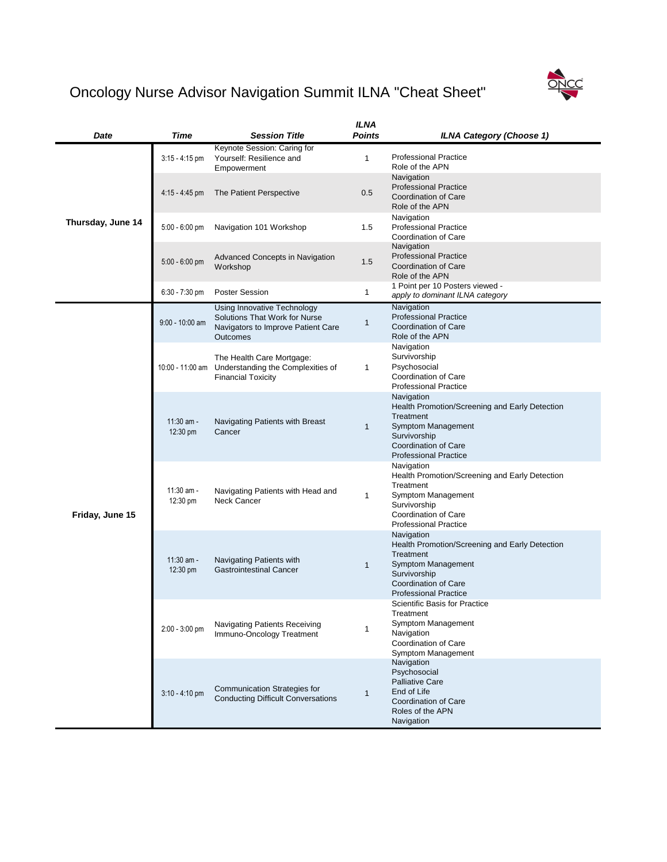|                   |                          |                                                                                                                              | <b>ILNA</b>   |                                                                                                                                                                                       |
|-------------------|--------------------------|------------------------------------------------------------------------------------------------------------------------------|---------------|---------------------------------------------------------------------------------------------------------------------------------------------------------------------------------------|
| <b>Date</b>       | <b>Time</b>              | <b>Session Title</b>                                                                                                         | <b>Points</b> | <b>ILNA Category (Choose 1)</b>                                                                                                                                                       |
| Thursday, June 14 | $3:15 - 4:15$ pm         | Keynote Session: Caring for<br>Yourself: Resilience and<br>Empowerment                                                       | 1             | <b>Professional Practice</b><br>Role of the APN                                                                                                                                       |
|                   | $4:15 - 4:45$ pm         | The Patient Perspective                                                                                                      | 0.5           | Navigation<br><b>Professional Practice</b><br><b>Coordination of Care</b><br>Role of the APN                                                                                          |
|                   | $5:00 - 6:00$ pm         | Navigation 101 Workshop                                                                                                      | 1.5           | Navigation<br><b>Professional Practice</b><br><b>Coordination of Care</b>                                                                                                             |
|                   | 5:00 - 6:00 pm           | <b>Advanced Concepts in Navigation</b><br>Workshop                                                                           | 1.5           | Navigation<br><b>Professional Practice</b><br><b>Coordination of Care</b><br>Role of the APN                                                                                          |
|                   | $6:30 - 7:30$ pm         | <b>Poster Session</b>                                                                                                        | 1             | 1 Point per 10 Posters viewed -<br>apply to dominant ILNA category                                                                                                                    |
|                   | $9:00 - 10:00$ am        | Using Innovative Technology<br><b>Solutions That Work for Nurse</b><br>Navigators to Improve Patient Care<br><b>Outcomes</b> |               | Navigation<br><b>Professional Practice</b><br><b>Coordination of Care</b><br>Role of the APN                                                                                          |
|                   | 10:00 - 11:00 am         | The Health Care Mortgage:<br>Understanding the Complexities of<br><b>Financial Toxicity</b>                                  | 1             | Navigation<br>Survivorship<br>Psychosocial<br><b>Coordination of Care</b><br><b>Professional Practice</b>                                                                             |
|                   | 11:30 am -<br>12:30 pm   | <b>Navigating Patients with Breast</b><br>Cancer                                                                             | 1             | Navigation<br>Health Promotion/Screening and Early Detection<br><b>Treatment</b><br><b>Symptom Management</b><br>Survivorship<br>Coordination of Care<br><b>Professional Practice</b> |
| Friday, June 15   | $11:30$ am -<br>12:30 pm | Navigating Patients with Head and<br><b>Neck Cancer</b>                                                                      | $\mathbf 1$   | Navigation<br>Health Promotion/Screening and Early Detection<br>Treatment<br><b>Symptom Management</b><br>Survivorship<br><b>Coordination of Care</b><br><b>Professional Practice</b> |
|                   | $11:30$ am -<br>12:30 pm | Navigating Patients with<br><b>Gastrointestinal Cancer</b>                                                                   | 1             | Navigation<br>Health Promotion/Screening and Early Detection<br>Treatment<br><b>Symptom Management</b><br>Survivorship<br><b>Coordination of Care</b><br><b>Professional Practice</b> |
|                   | 2:00 - 3:00 pm           | <b>Navigating Patients Receiving</b><br>Immuno-Oncology Treatment                                                            |               | <b>Scientific Basis for Practice</b><br>Treatment<br>Symptom Management<br>Navigation<br><b>Coordination of Care</b><br><b>Symptom Management</b>                                     |

|                  |                                                                                  | <b>Symptom Management</b>                                                                                                            |
|------------------|----------------------------------------------------------------------------------|--------------------------------------------------------------------------------------------------------------------------------------|
| $3:10 - 4:10$ pm | <b>Communication Strategies for</b><br><b>Conducting Difficult Conversations</b> | Navigation<br>Psychosocial<br><b>Palliative Care</b><br>End of Life<br><b>Coordination of Care</b><br>Roles of the APN<br>Navigation |

## ONCC

## Oncology Nurse Advisor Navigation Summit ILNA "Cheat Sheet"